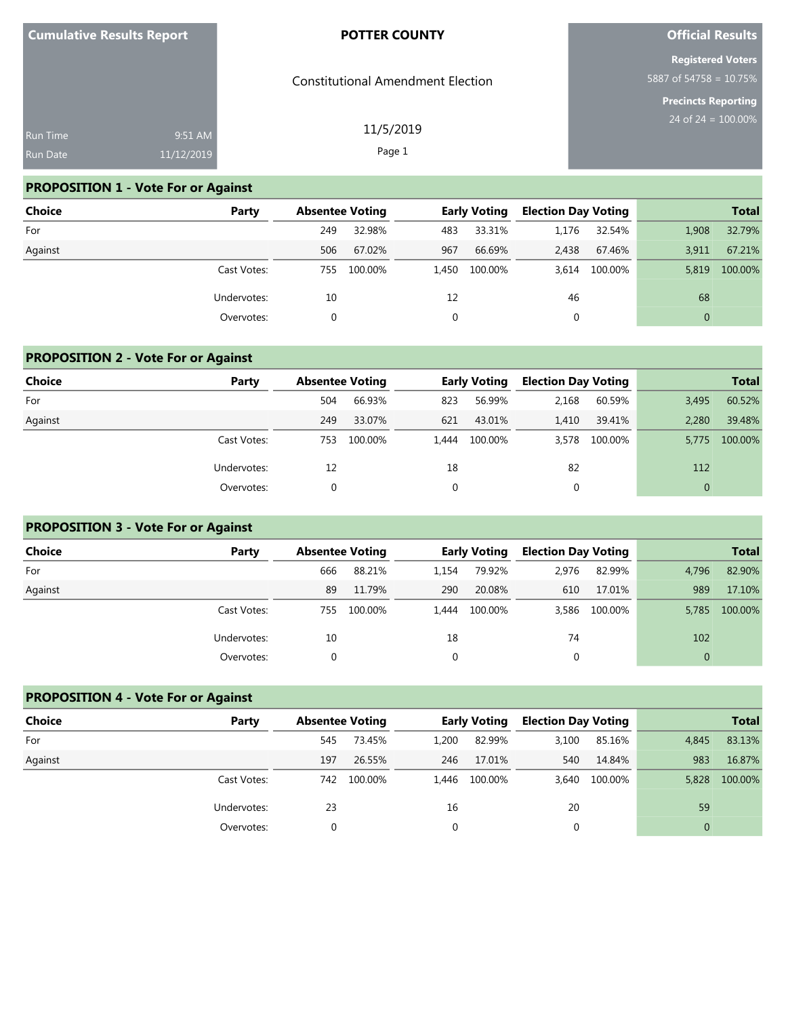| <b>Cumulative Results Report</b> |                       | <b>POTTER COUNTY</b>                     | <b>Official Results</b>                             |
|----------------------------------|-----------------------|------------------------------------------|-----------------------------------------------------|
|                                  |                       | <b>Constitutional Amendment Election</b> | <b>Registered Voters</b><br>5887 of 54758 = 10.75%  |
| Run Time<br>Run Date             | 9:51 AM<br>11/12/2019 | 11/5/2019<br>Page 1                      | <b>Precincts Reporting</b><br>24 of $24 = 100.00\%$ |
|                                  |                       |                                          |                                                     |

## **PROPOSITION 1 - Vote For or Against**

| <b>Choice</b> | Party       | <b>Absentee Voting</b> |         |       | <b>Early Voting</b> | <b>Election Day Voting</b> |         |              | <b>Total</b> |
|---------------|-------------|------------------------|---------|-------|---------------------|----------------------------|---------|--------------|--------------|
| For           |             | 249                    | 32.98%  | 483   | 33.31%              | 1.176                      | 32.54%  | 1,908        | 32.79%       |
| Against       |             | 506                    | 67.02%  | 967   | 66.69%              | 2,438                      | 67.46%  | 3,911        | 67.21%       |
|               | Cast Votes: | 755                    | 100.00% | 1.450 | 100.00%             | 3.614                      | 100.00% | 5,819        | 100.00%      |
|               | Undervotes: | 10                     |         | 12    |                     | 46                         |         | 68           |              |
|               | Overvotes:  | 0                      |         |       |                     | 0                          |         | $\mathbf{0}$ |              |

## **PROPOSITION 2 - Vote For or Against**

| <b>Choice</b> | Party       | <b>Absentee Voting</b> |         |       | <b>Early Voting</b> | <b>Election Day Voting</b> |         |       | <b>Total</b> |
|---------------|-------------|------------------------|---------|-------|---------------------|----------------------------|---------|-------|--------------|
| For           |             | 504                    | 66.93%  | 823   | 56.99%              | 2,168                      | 60.59%  | 3,495 | 60.52%       |
| Against       |             | 249                    | 33.07%  | 621   | 43.01%              | 1,410                      | 39.41%  | 2.280 | 39.48%       |
|               | Cast Votes: | 753                    | 100.00% | 1.444 | 100.00%             | 3,578                      | 100.00% | 5.775 | 100.00%      |
|               | Undervotes: | 12                     |         | 18    |                     | 82                         |         | 112   |              |
|               | Overvotes:  |                        |         | 0     |                     |                            |         |       |              |

## **PROPOSITION 3 - Vote For or Against**

| <b>Choice</b> | Party       | <b>Absentee Voting</b> |         |          | <b>Early Voting</b> | <b>Election Day Voting</b> |         |          | <b>Total</b> |
|---------------|-------------|------------------------|---------|----------|---------------------|----------------------------|---------|----------|--------------|
| For           |             | 666                    | 88.21%  | 1,154    | 79.92%              | 2,976                      | 82.99%  | 4,796    | 82.90%       |
| Against       |             | 89                     | 11.79%  | 290      | 20.08%              | 610                        | 17.01%  | 989      | 17.10%       |
|               | Cast Votes: | 755                    | 100.00% | 1.444    | 100.00%             | 3,586                      | 100.00% | 5.785    | 100.00%      |
|               | Undervotes: | 10                     |         | 18       |                     | 74                         |         | 102      |              |
|               | Overvotes:  |                        |         | $\Omega$ |                     |                            |         | $\Omega$ |              |

## **PROPOSITION 4 - Vote For or Against**

| <b>Choice</b> | Party       |     | <b>Absentee Voting</b> |       | <b>Early Voting</b> | <b>Election Day Voting</b> |         |          | <b>Total</b> |
|---------------|-------------|-----|------------------------|-------|---------------------|----------------------------|---------|----------|--------------|
| For           |             | 545 | 73.45%                 | 1,200 | 82.99%              | 3,100                      | 85.16%  | 4,845    | 83.13%       |
| Against       |             | 197 | 26.55%                 | 246   | 17.01%              | 540                        | 14.84%  | 983      | 16.87%       |
|               | Cast Votes: | 742 | 100.00%                | 1.446 | 100.00%             | 3.640                      | 100.00% | 5,828    | 100.00%      |
|               | Undervotes: | 23  |                        | 16    |                     | 20                         |         | 59       |              |
|               | Overvotes:  |     |                        | 0     |                     |                            |         | $\Omega$ |              |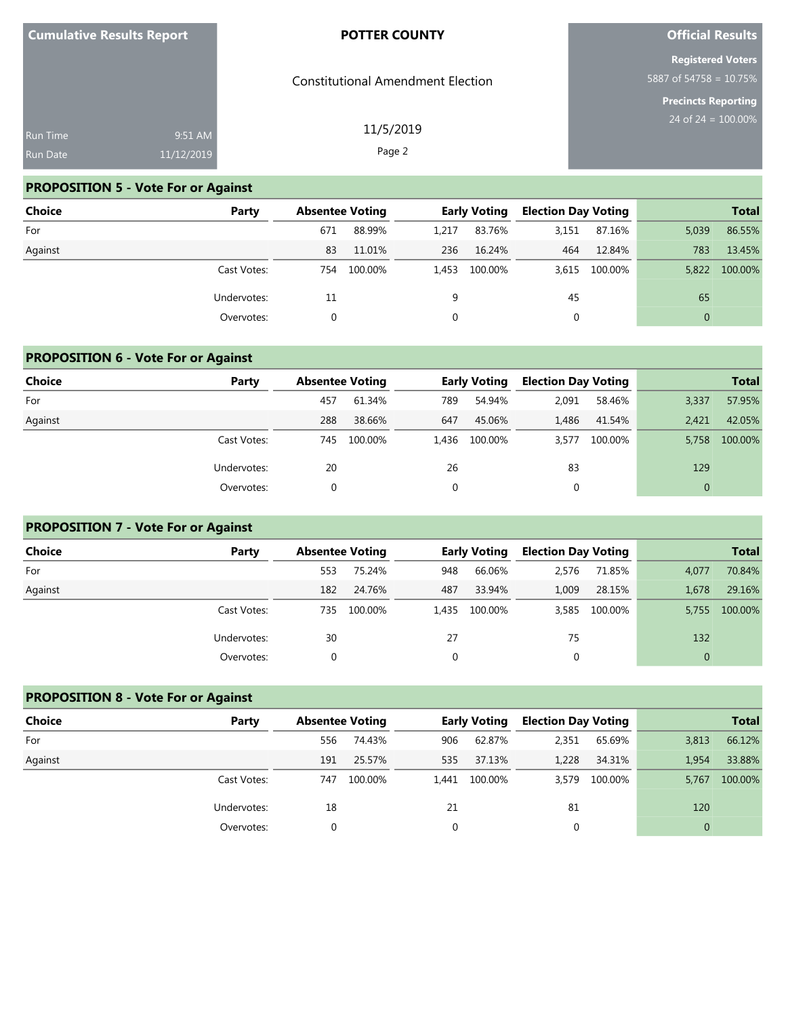| <b>Cumulative Results Report</b> |         | <b>POTTER COUNTY</b>                     |  |
|----------------------------------|---------|------------------------------------------|--|
|                                  |         | <b>Constitutional Amendment Election</b> |  |
| <b>Run Time</b>                  | 9:51 AM | 11/5/2019                                |  |

#### Page 2

### **PROPOSITION 5 - Vote For or Against**

11/12/2019

Run Date

| <b>Choice</b> | Party       | <b>Absentee Voting</b> |         |       | <b>Early Voting</b> | <b>Election Day Voting</b> |               |              | <b>Total</b> |
|---------------|-------------|------------------------|---------|-------|---------------------|----------------------------|---------------|--------------|--------------|
| For           |             | 671                    | 88.99%  | 1,217 | 83.76%              | 3,151                      | 87.16%        | 5,039        | 86.55%       |
| Against       |             | 83                     | 11.01%  | 236   | 16.24%              | 464                        | 12.84%        | 783          | 13.45%       |
|               | Cast Votes: | 754                    | 100.00% | 1.453 | 100.00%             |                            | 3,615 100.00% | 5.822        | 100.00%      |
|               | Undervotes: | 11                     |         | 9     |                     | 45                         |               | 65           |              |
|               | Overvotes:  | 0                      |         |       |                     | 0                          |               | $\mathbf{0}$ |              |

#### **PROPOSITION 6 - Vote For or Against**

| <b>Choice</b> | Party       | <b>Absentee Voting</b> |         |     | <b>Early Voting</b> | <b>Election Day Voting</b> |         |              | <b>Total</b> |
|---------------|-------------|------------------------|---------|-----|---------------------|----------------------------|---------|--------------|--------------|
| For           |             | 457                    | 61.34%  | 789 | 54.94%              | 2,091                      | 58.46%  | 3,337        | 57.95%       |
| Against       |             | 288                    | 38.66%  | 647 | 45.06%              | 1.486                      | 41.54%  | 2.421        | 42.05%       |
|               | Cast Votes: | 745                    | 100.00% |     | 1,436 100.00%       | 3.577                      | 100.00% | 5.758        | 100.00%      |
|               | Undervotes: | 20                     |         | 26  |                     | 83                         |         | 129          |              |
|               | Overvotes:  |                        |         | 0   |                     | 0                          |         | $\mathbf{0}$ |              |

### **PROPOSITION 7 - Vote For or Against**

| <b>Choice</b> | Party       | <b>Absentee Voting</b> |         |     | <b>Early Voting</b> | <b>Election Day Voting</b> |         |              | <b>Total</b> |
|---------------|-------------|------------------------|---------|-----|---------------------|----------------------------|---------|--------------|--------------|
| For           |             | 553                    | 75.24%  | 948 | 66.06%              | 2,576                      | 71.85%  | 4,077        | 70.84%       |
| Against       |             | 182                    | 24.76%  | 487 | 33.94%              | 1,009                      | 28.15%  | 1,678        | 29.16%       |
|               | Cast Votes: | 735                    | 100.00% |     | 1,435 100.00%       | 3,585                      | 100.00% | 5.755        | 100.00%      |
|               | Undervotes: | 30                     |         | 27  |                     | 75                         |         | 132          |              |
|               | Overvotes:  |                        |         | 0   |                     | 0                          |         | $\mathbf{0}$ |              |

## **PROPOSITION 8 - Vote For or Against**

| <b>Choice</b> | Party       |     | <b>Absentee Voting</b> |          | <b>Early Voting</b> | <b>Election Day Voting</b> |         |          | <b>Total</b> |
|---------------|-------------|-----|------------------------|----------|---------------------|----------------------------|---------|----------|--------------|
| For           |             | 556 | 74.43%                 | 906      | 62.87%              | 2,351                      | 65.69%  | 3,813    | 66.12%       |
| Against       |             | 191 | 25.57%                 | 535      | 37.13%              | 1,228                      | 34.31%  | 1,954    | 33.88%       |
|               | Cast Votes: | 747 | 100.00%                | 1.441    | 100.00%             | 3.579                      | 100.00% | 5,767    | 100.00%      |
|               | Undervotes: | 18  |                        | 21       |                     | 81                         |         | 120      |              |
|               | Overvotes:  |     |                        | $\Omega$ |                     |                            |         | $\Omega$ |              |

## **Official Results**

**Registered Voters** 5887 of 54758 = 10.75%

**Precincts Reporting**